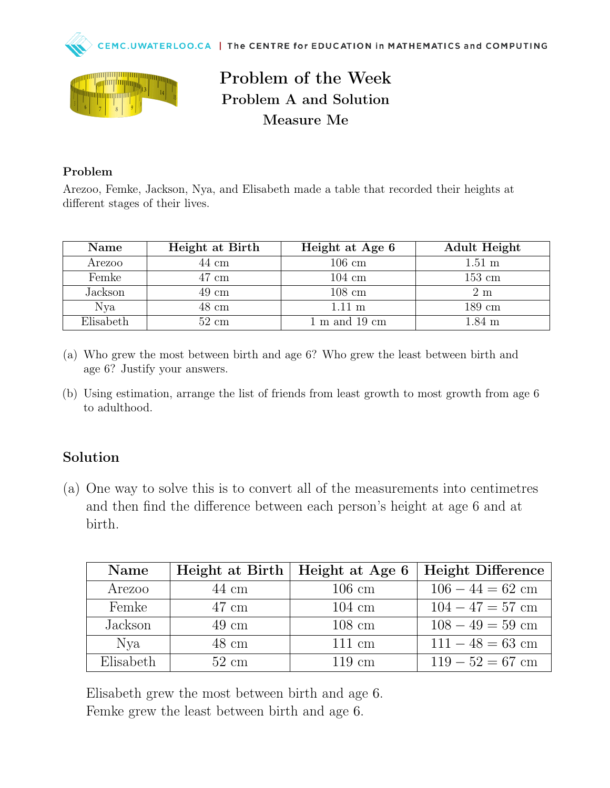



## Problem of the Week Problem A and Solution Measure Me

## Problem

Arezoo, Femke, Jackson, Nya, and Elisabeth made a table that recorded their heights at different stages of their lives.

| Name            | Height at Birth | Height at Age 6                   | Adult Height     |
|-----------------|-----------------|-----------------------------------|------------------|
| Arezoo          | $44 \text{ cm}$ | $106 \text{ cm}$                  | $1.51 \text{ m}$ |
| Femke           | $47 \text{ cm}$ | $104 \text{ cm}$                  | $153 \text{ cm}$ |
| Jackson         | $49 \text{ cm}$ | $108 \text{ cm}$                  | 2 m              |
| N <sub>va</sub> | $48 \text{ cm}$ | $1.11 \text{ m}$                  | $189 \text{ cm}$ |
| Elisabeth       | $52 \text{ cm}$ | $1 \text{ m}$ and $19 \text{ cm}$ | $1.84 \text{ m}$ |

- (a) Who grew the most between birth and age 6? Who grew the least between birth and age 6? Justify your answers.
- (b) Using estimation, arrange the list of friends from least growth to most growth from age 6 to adulthood.

## Solution

(a) One way to solve this is to convert all of the measurements into centimetres and then find the difference between each person's height at age 6 and at birth.

| Name            | Height at Birth | Height at Age 6  | Height Difference  |
|-----------------|-----------------|------------------|--------------------|
| Arezoo          | $44 \text{ cm}$ | $106 \text{ cm}$ | $106 - 44 = 62$ cm |
| Femke           | $47 \text{ cm}$ | $104 \text{ cm}$ | $104 - 47 = 57$ cm |
| Jackson         | $49 \text{ cm}$ | $108 \text{ cm}$ | $108 - 49 = 59$ cm |
| N <sub>va</sub> | 48 cm           | $111 \text{ cm}$ | $111 - 48 = 63$ cm |
| Elisabeth       | $52 \text{ cm}$ | $119 \text{ cm}$ | $119-52=67$ cm     |

Elisabeth grew the most between birth and age 6. Femke grew the least between birth and age 6.